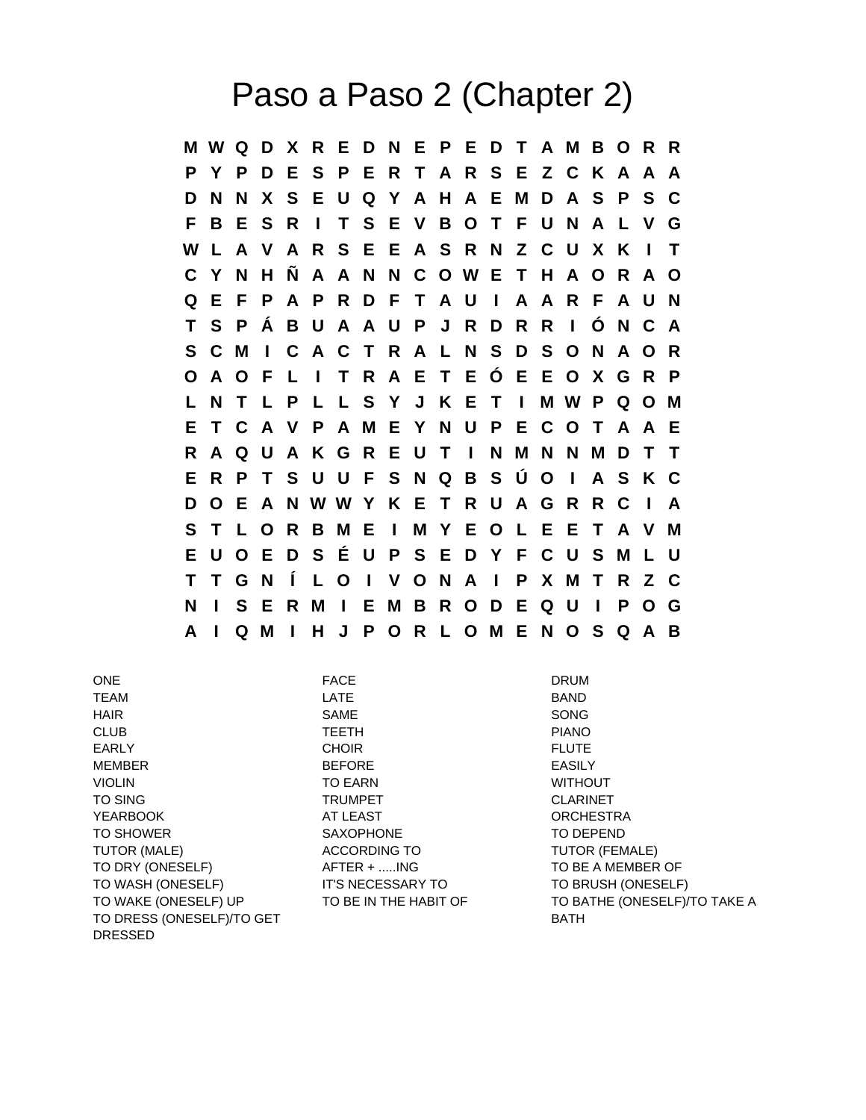## Paso a Paso 2 (Chapter 2)

**M W Q D X R E D N E P E D T A M B O R R P Y P D E S P E R T A R S E Z C K A A A D N N X S E U Q Y A H A E M D A S P S C F B E S R I T S E V B O T F U N A L V G W L A V A R S E E A S R N Z C U X K I T C Y N H Ñ A A N N C O W E T H A O R A O Q E F P A P R D F T A U I A A R F A U N T S P Á B U A A U P J R D R R I Ó N C A S C M I C A C T R A L N S D S O N A O R O A O F L I T R A E T E Ó E E O X G R P L N T L P L L S Y J K E T I M W P Q O M E T C A V P A M E Y N U P E C O T A A E R A Q U A K G R E U T I N M N N M D T T E R P T S U U F S N Q B S Ú O I A S K C D O E A N W W Y K E T R U A G R R C I A S T L O R B M E I M Y E O L E E T A V M E U O E D S É U P S E D Y F C U S M L U T T G N Í L O I V O N A I P X M T R Z C N I S E R M I E M B R O D E Q U I P O G A I Q M I H J P O R L O M E N O S Q A B**

ONE DRUM DRUM FACE DRUM TEAM LATE BAND HAIR SAME SONG CLUB TEETH PIANO EARLY FLUTE CHOIR CHOIR FLUTE MEMBER BEFORE EASILY VIOLIN **TO EARN** TO EARN WITHOUT TO SING TRUMPET CLARINET YEARBOOK AT LEAST ORCHESTRA TO SHOWER **SAXOPHONE** SAXOPHONE TO DEPEND TUTOR (MALE) TUTOR (FEMALE) TO DRY (ONESELF)  $A$  FTER + .....ING TO BE A MEMBER OF TO WASH (ONESELF) IT'S NECESSARY TO TO BRUSH (ONESELF) TO DRESS (ONESELF)/TO GET A RESOLUTION OF A RATH DRESSED

TO WAKE (ONESELF) UP TO BE IN THE HABIT OF TO BATHE (ONESELF)/TO TAKE A